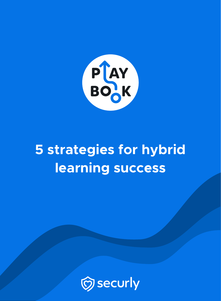

# **5 strategies for hybrid learning success**

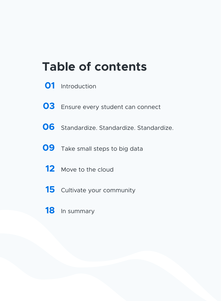# **Table of contents**

- Introduction
- Ensure every student can connect
- Standardize. Standardize. Standardize.
- Take small steps to big data
	- Move to the cloud
	- Cultivate your community
	- In summary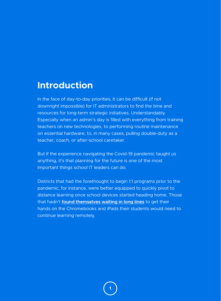### **Introduction**

In the face of day-to-day priorities, it can be difficult (if not downright impossible) for IT administrators to find the time and resources for long-term strategic initiatives. Understandably. Especially when an admin's day is filled with everything from training teachers on new technologies, to performing routine maintenance on essential hardware, to, in many cases, pulling double-duty as a teacher, coach, or after-school caretaker.

But if the experience navigating the Covid-19 pandemic taught us anything, it's that planning for the future is one of the most important things school IT leaders can do.

Districts that had the forethought to begin 1:1 programs prior to the pandemic, for instance, were better equipped to quickly pivot to distance learning once school devices started heading home. Those that hadn't **found themselves waiting in long lines** to get their hands on the Chromebooks and iPads their students would need to continue learning remotely.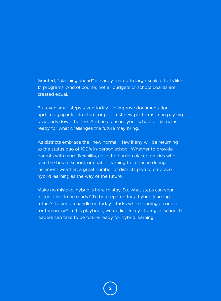Granted, "planning ahead" is hardly limited to large-scale efforts like 1:1 programs. And of course, not all budgets or school boards are created equal.

But even small steps taken today—to improve documentation, update aging infrastructure, or pilot test new platforms—can pay big dividends down the line. And help ensure your school or district is ready for what challenges the future may bring.

As districts embrace the "new normal," few if any will be returning to the status quo of 100% in-person school. Whether to provide parents with more flexibility, ease the burden placed on kids who take the bus to school, or enable learning to continue during inclement weather, a great number of districts plan to embrace hybrid learning as the way of the future.

Make no mistake: hybrid is here to stay. So, what steps can your district take to be ready? To be prepared for a hybrid learning future? To keep a handle on today's tasks while charting a course for tomorrow? In this playbook, we outline 5 key strategies school IT leaders can take to be future-ready for hybrid learning.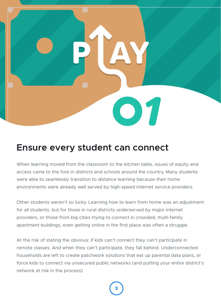

## **Ensure every student can connect**

When learning moved from the classroom to the kitchen table, issues of equity and access came to the fore in districts and schools around the country. Many students were able to seamlessly transition to distance learning because their home environments were already well served by high-speed internet service providers.

Other students weren't so lucky. Learning how to learn from home was an adjustment for all students, but for those in rural districts underserved by major internet providers, or those from big cities trying to connect in crowded, multi-family apartment buildings, even getting online in the first place was often a struggle.

At the risk of stating the obvious: if kids can't connect they can't participate in remote classes. And when they can't participate, they fall behind. Underconnected households are left to create patchwork solutions that eat up parental data plans, or force kids to connect via unsecured public networks (and putting your entire district's network at risk in the process)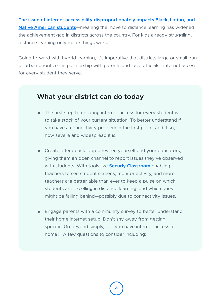**The issue of internet accessibility disproportionately impacts Black, Latino, and Native American students**—meaning the move to distance learning has widened the achievement gap in districts across the country. For kids already struggling, distance learning only made things worse.

Going forward with hybrid learning, it's imperative that districts large or small, rural or urban prioritize—in partnership with parents and local officials—internet access for every student they serve.

- The first step to ensuring internet access for every student is to take stock of your current situation. To better understand if you have a connectivity problem in the first place, and if so, how severe and widespread it is.
- Create a feedback loop between yourself and your educators, giving them an open channel to report issues they've observed with students. With tools like **Securly Classroom** enabling teachers to see student screens, monitor activity, and more, teachers are better able than ever to keep a pulse on which students are excelling in distance learning, and which ones might be falling behind—possibly due to connectivity issues.
- Engage parents with a community survey to better understand their home internet setup. Don't shy away from getting specific. Go beyond simply, "do you have internet access at home?" A few questions to consider including: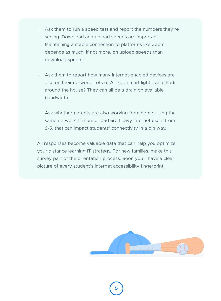- Ask them to run a speed test and report the numbers they're  seeing. Download and upload speeds are important. Maintaining a stable connection to platforms like Zoom depends as much, if not more, on upload speeds than download speeds.
- Ask them to report how many internet-enabled devices are  also on their network. Lots of Alexas, smart lights, and iPads around the house? They can all be a drain on available bandwidth.
- Ask whether parents are also working from home, using the same network. If mom or dad are heavy internet users from 9-5, that can impact students' connectivity in a big way.

All responses become valuable data that can help you optimize your distance learning IT strategy. For new families, make this survey part of the orientation process. Soon you'll have a clear picture of every student's internet accessibility fingerprint.

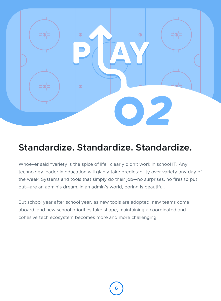

# **Standardize. Standardize. Standardize.**

Whoever said "variety is the spice of life" clearly didn't work in school IT. Any technology leader in education will gladly take predictability over variety any day of the week. Systems and tools that simply do their job—no surprises, no fires to put out—are an admin's dream. In an admin's world, boring is beautiful.

But school year after school year, as new tools are adopted, new teams come aboard, and new school priorities take shape, maintaining a coordinated and cohesive tech ecosystem becomes more and more challenging.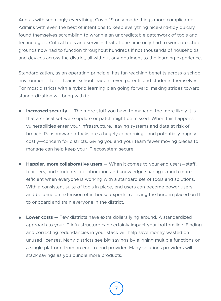And as with seemingly everything, Covid-19 only made things more complicated. Admins with even the best of intentions to keep everything nice-and-tidy quickly found themselves scrambling to wrangle an unpredictable patchwork of tools and technologies. Critical tools and services that at one time only had to work on school grounds now had to function throughout hundreds if not thousands of households and devices across the district, all without any detriment to the learning experience.

Standardization, as an operating principle, has far-reaching benefits across a school environment—for IT teams, school leaders, even parents and students themselves. For most districts with a hybrid learning plan going forward, making strides toward standardization will bring with it:

- **Increased security** The more stuff you have to manage, the more likely it is  $\bullet$ that a critical software update or patch might be missed. When this happens, vulnerabilities enter your infrastructure, leaving systems and data at risk of breach. Ransomware attacks are a hugely concerning—and potentially hugely costly—concern for districts. Giving you and your team fewer moving pieces to manage can help keep your IT ecosystem secure.
- **Happier, more collaborative users** When it comes to your end users—staff, teachers, and students—collaboration and knowledge sharing is much more efficient when everyone is working with a standard set of tools and solutions. With a consistent suite of tools in place, end users can become power users, and become an extension of in-house experts, relieving the burden placed on IT to onboard and train everyone in the district.
- **Lower costs** Few districts have extra dollars lying around. A standardized approach to your IT infrastructure can certainly impact your bottom line. Finding and correcting redundancies in your stack will help save money wasted on unused licenses. Many districts see big savings by aligning multiple functions on a single platform from an end-to-end provider. Many solutions providers will stack savings as you bundle more products.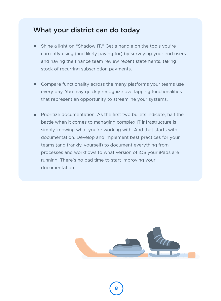- Shine a light on "Shadow IT." Get a handle on the tools you're currently using (and likely paying for) by surveying your end users and having the finance team review recent statements, taking stock of recurring subscription payments.
- Compare functionality across the many platforms your teams use every day. You may quickly recognize overlapping functionalities that represent an opportunity to streamline your systems.
- Prioritize documentation. As the first two bullets indicate, half the battle when it comes to managing complex IT infrastructure is simply knowing what you're working with. And that starts with documentation. Develop and implement best practices for your teams (and frankly, yourself) to document everything from processes and workflows to what version of iOS your iPads are running. There's no bad time to start improving your documentation.

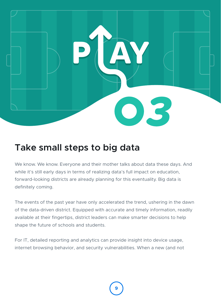

# **Take small steps to big data**

We know. We know. Everyone and their mother talks about data these days. And while it's still early days in terms of realizing data's full impact on education, forward-looking districts are already planning for this eventuality. Big data is definitely coming.

The events of the past year have only accelerated the trend, ushering in the dawn of the data-driven district. Equipped with accurate and timely information, readily available at their fingertips, district leaders can make smarter decisions to help shape the future of schools and students.

For IT, detailed reporting and analytics can provide insight into device usage, internet browsing behavior, and security vulnerabilities. When a new (and not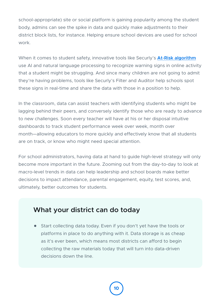school-appropriate) site or social platform is gaining popularity among the student body, admins can see the spike in data and quickly make adjustments to their district block lists, for instance. Helping ensure school devices are used for school work.

When it comes to student safety, innovative tools like Securly's **At-Risk algorithm** use AI and natural language processing to recognize warning signs in online activity that a student might be struggling. And since many children are not going to admit they're having problems, tools like Securly's Filter and Auditor help schools spot these signs in real-time and share the data with those in a position to help.

In the classroom, data can assist teachers with identifying students who might be lagging behind their peers, and conversely identify those who are ready to advance to new challenges. Soon every teacher will have at his or her disposal intuitive dashboards to track student performance week over week, month over month—allowing educators to more quickly and effectively know that all students are on track, or know who might need special attention.

For school administrators, having data at hand to guide high-level strategy will only become more important in the future. Zooming out from the day-to-day to look at macro-level trends in data can help leadership and school boards make better decisions to impact attendance, parental engagement, equity, test scores, and, ultimately, better outcomes for students.

### **What your district can do today**

Start collecting data today. Even if you don't yet have the tools or platforms in place to do anything with it. Data storage is as cheap as it's ever been, which means most districts can afford to begin collecting the raw materials today that will turn into data-driven decisions down the line.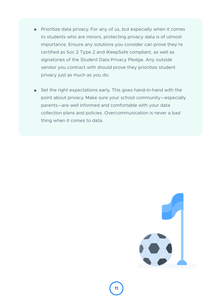- Prioritize data privacy. For any of us, but especially when it comes to students who are minors, protecting privacy data is of utmost importance. Ensure any solutions you consider can prove they're certified as Soc 2 Type 2 and iKeepSafe compliant, as well as signatories of the Student Data Privacy Pledge. Any outside vendor you contract with should prove they prioritize student privacy just as much as you do.
- Set the right expectations early. This goes hand-in-hand with the point about privacy. Make sure your school community—especially parents—are well informed and comfortable with your data collection plans and policies. Overcommunication is never a bad thing when it comes to data.

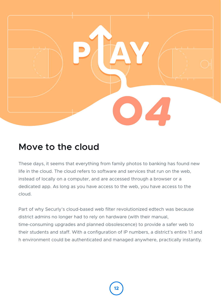

## **Move to the cloud**

These days, it seems that everything from family photos to banking has found new life in the cloud. The cloud refers to software and services that run on the web, instead of locally on a computer, and are accessed through a browser or a dedicated app. As long as you have access to the web, you have access to the cloud.

Part of why Securly's cloud-based web filter revolutionized edtech was because district admins no longer had to rely on hardware (with their manual, time-consuming upgrades and planned obsolescence) to provide a safer web to their students and staff. With a configuration of IP numbers, a district's entire 1:1 and h environment could be authenticated and managed anywhere, practically instantly.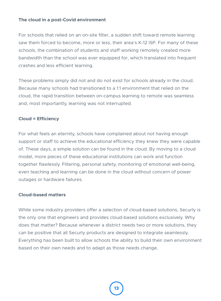#### **The cloud in a post-Covid environment**

For schools that relied on an on-site filter, a sudden shift toward remote learning saw them forced to become, more or less, their area's K-12 ISP. For many of these schools, the combination of students and staff working remotely created more bandwidth than the school was ever equipped for, which translated into frequent crashes and less efficient learning.

These problems simply did not and do not exist for schools already in the cloud. Because many schools had transitioned to a 1:1 environment that relied on the cloud, the rapid transition between on-campus learning to remote was seamless and, most importantly, learning was not interrupted.

#### **Cloud = Efficiency**

For what feels an eternity, schools have complained about not having enough support or staff to achieve the educational efficiency they knew they were capable of. These days, a simple solution can be found in the cloud. By moving to a cloud model, more pieces of these educational institutions can work and function together flawlessly. Filtering, personal safety, monitoring of emotional well-being, even teaching and learning can be done in the cloud without concern of power outages or hardware failures.

#### **Cloud-based matters**

While some industry providers offer a selection of cloud-based solutions, Securly is the only one that engineers and provides cloud-based solutions exclusively. Why does that matter? Because whenever a district needs two or more solutions, they can be positive that all Securly products are designed to integrate seamlessly. Everything has been built to allow schools the ability to build their own environment based on their own needs and to adapt as those needs change.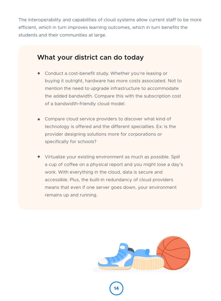The interoperability and capabilities of cloud systems allow current staff to be more efficient, which in turn improves learning outcomes, which in turn benefits the students and their communities at large.

- Conduct a cost-benefit study. Whether you're leasing or buying it outright, hardware has more costs associated. Not to mention the need to upgrade infrastructure to accommodate the added bandwidth. Compare this with the subscription cost of a bandwidth-friendly cloud model.
- Compare cloud service providers to discover what kind of technology is offered and the different specialties. Ex: Is the provider designing solutions more for corporations or specifically for schools?
- Virtualize your existing environment as much as possible. Spill a cup of coffee on a physical report and you might lose a day's work. With everything in the cloud, data is secure and accessible. Plus, the built-in redundancy of cloud providers means that even if one server goes down, your environment remains up and running.

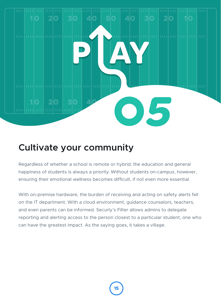

# **Cultivate your community**

Regardless of whether a school is remote or hybrid, the education and general happiness of students is always a priority. Without students on-campus, however, ensuring their emotional wellness becomes difficult, if not even more essential.

With on-premise hardware, the burden of receiving and acting on safety alerts fell on the IT department. With a cloud environment, guidance counselors, teachers, and even parents can be informed. Securly's Filter allows admins to delegate reporting and alerting access to the person closest to a particular student, one who can have the greatest impact. As the saying goes, it takes a village.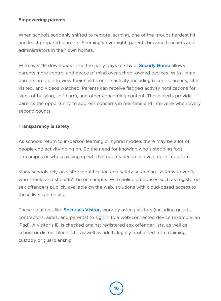#### **Empowering parents**

When schools suddenly shifted to remote learning, one of the groups hardest hit and least prepared: parents. Seemingly overnight, parents became teachers and administrators in their own homes.

With over 1M downloads since the early days of Covid, **Securly Home** allows parents more control and peace of mind over school-owned devices. With Home, parents are able to view their child's online activity, including recent searches, sites visited, and videos watched. Parents can receive flagged activity notifications for signs of bullying, self-harm, and other concerning content. These alerts provide parents the opportunity to address concerns in real-time and intervene when every second counts.

#### **Transparency is safety**

As schools return to in-person learning or hybrid models there may be a lot of people and activity going on. So the need for knowing who's stepping foot on-campus or who's picking up which students becomes even more important.

Many schools rely on visitor identification and safety screening systems to verify who should and shouldn't be on campus. With police databases such as registered sex offenders publicly available on the web, solutions with cloud-based access to these lists can be vital.

These solutions, like **Securly's Visitor**, work by asking visitors (including guests, contractors, aides, and parents) to sign in to a web-connected device (example: an iPad). A visitor's ID is checked against registered sex offender lists, as well as school or district block lists, as well as adults legally prohibited from claiming custody or guardianship.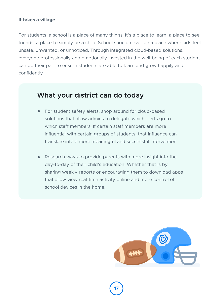#### **It takes a village**

For students, a school is a place of many things. It's a place to learn, a place to see friends, a place to simply be a child. School should never be a place where kids feel unsafe, unwanted, or unnoticed. Through integrated cloud-based solutions, everyone professionally and emotionally invested in the well-being of each student can do their part to ensure students are able to learn and grow happily and confidently.

- For student safety alerts, shop around for cloud-based solutions that allow admins to delegate which alerts go to which staff members. If certain staff members are more influential with certain groups of students, that influence can translate into a more meaningful and successful intervention.
- Research ways to provide parents with more insight into the day-to-day of their child's education. Whether that is by sharing weekly reports or encouraging them to download apps that allow view real-time activity online and more control of school devices in the home.

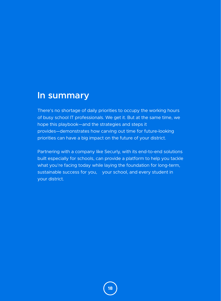### **In summary**

There's no shortage of daily priorities to occupy the working hours of busy school IT professionals. We get it. But at the same time, we hope this playbook—and the strategies and steps it provides—demonstrates how carving out time for future-looking priorities can have a big impact on the future of your district.

Partnering with a company like Securly, with its end-to-end solutions built especially for schools, can provide a platform to help you tackle what you're facing today while laying the foundation for long-term, sustainable success for you, your school, and every student in your district.